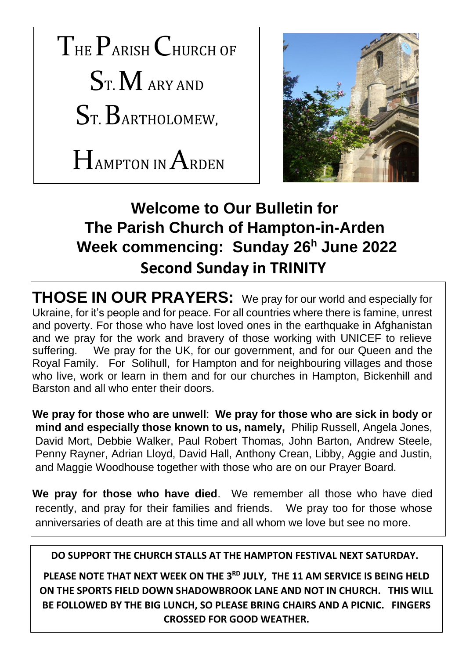THE PARISH CHURCH OF  $S<sub>T</sub>$  M ARY AND ST. BARTHOLOMEW,

HAMPTON IN ARDEN



# **Welcome to Our Bulletin for The Parish Church of Hampton-in-Arden Week commencing: Sunday 26<sup>h</sup> June 2022 Second Sunday in TRINITY**

**THOSE IN OUR PRAYERS:** We pray for our world and especially for Ukraine, for it's people and for peace. For all countries where there is famine, unrest and poverty. For those who have lost loved ones in the earthquake in Afghanistan and we pray for the work and bravery of those working with UNICEF to relieve suffering. We pray for the UK, for our government, and for our Queen and the Royal Family. For Solihull, for Hampton and for neighbouring villages and those who live, work or learn in them and for our churches in Hampton, Bickenhill and Barston and all who enter their doors.

**We pray for those who are unwell**: **We pray for those who are sick in body or mind and especially those known to us, namely,** Philip Russell, Angela Jones, David Mort, Debbie Walker, Paul Robert Thomas, John Barton, Andrew Steele, Penny Rayner, Adrian Lloyd, David Hall, Anthony Crean, Libby, Aggie and Justin, and Maggie Woodhouse together with those who are on our Prayer Board.

**We pray for those who have died**. We remember all those who have died recently, and pray for their families and friends. We pray too for those whose anniversaries of death are at this time and all whom we love but see no more.

#### **DO SUPPORT THE CHURCH STALLS AT THE HAMPTON FESTIVAL NEXT SATURDAY.**

**PLEASE NOTE THAT NEXT WEEK ON THE 3RD JULY, THE 11 AM SERVICE IS BEING HELD ON THE SPORTS FIELD DOWN SHADOWBROOK LANE AND NOT IN CHURCH. THIS WILL BE FOLLOWED BY THE BIG LUNCH, SO PLEASE BRING CHAIRS AND A PICNIC. FINGERS CROSSED FOR GOOD WEATHER.**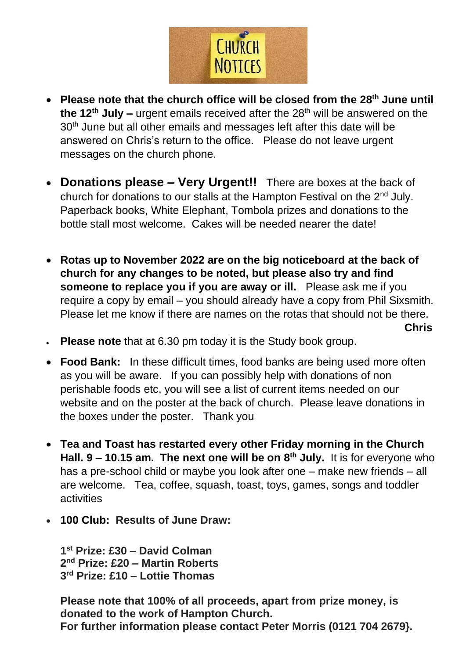

- **Please note that the church office will be closed from the 28th June until the 12th July –** urgent emails received after the 28th will be answered on the 30<sup>th</sup> June but all other emails and messages left after this date will be answered on Chris's return to the office. Please do not leave urgent messages on the church phone.
- **Donations please – Very Urgent!!** There are boxes at the back of church for donations to our stalls at the Hampton Festival on the  $2<sup>nd</sup>$  July. Paperback books, White Elephant, Tombola prizes and donations to the bottle stall most welcome. Cakes will be needed nearer the date!
- **Rotas up to November 2022 are on the big noticeboard at the back of church for any changes to be noted, but please also try and find someone to replace you if you are away or ill.** Please ask me if you require a copy by email – you should already have a copy from Phil Sixsmith. Please let me know if there are names on the rotas that should not be there.  *Chris* **Chris**
- **Please note** that at 6.30 pm today it is the Study book group.
- **Food Bank:** In these difficult times, food banks are being used more often as you will be aware. If you can possibly help with donations of non perishable foods etc, you will see a list of current items needed on our website and on the poster at the back of church. Please leave donations in the boxes under the poster. Thank you
- **Tea and Toast has restarted every other Friday morning in the Church Hall. 9 – 10.15 am. The next one will be on 8 th July.** It is for everyone who has a pre-school child or maybe you look after one – make new friends – all are welcome. Tea, coffee, squash, toast, toys, games, songs and toddler activities
- **100 Club: Results of June Draw:**

**1 st Prize: £30 – David Colman 2 nd Prize: £20 – Martin Roberts 3 rd Prize: £10 – Lottie Thomas**

**Please note that 100% of all proceeds, apart from prize money, is donated to the work of Hampton Church. For further information please contact Peter Morris (0121 704 2679}.**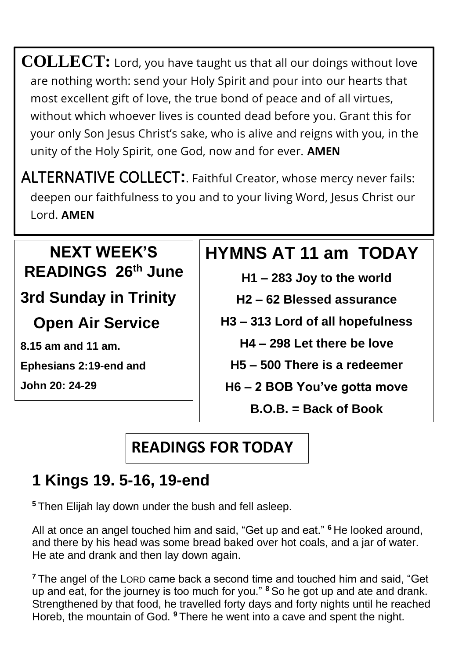**COLLECT:** Lord, you have taught us that all our doings without love are nothing worth: send your Holy Spirit and pour into our hearts that most excellent gift of love, the true bond of peace and of all virtues, without which whoever lives is counted dead before you. Grant this for your only Son Jesus Christ's sake, who is alive and reigns with you, in the unity of the Holy Spirit, one God, now and for ever. **AMEN**

ALTERNATIVE COLLECT**:**. Faithful Creator, whose mercy never fails: deepen our faithfulness to you and to your living Word, Jesus Christ our Lord. **AMEN**

### **NEXT WEEK'S READINGS 26th June**

**3rd Sunday in Trinity**

 **Open Air Service**

**8.15 am and 11 am.**

**Ephesians 2:19-end and** 

**John 20: 24-29**

# . **HYMNS AT 11 am TODAY**

- **H1 – 283 Joy to the world**
- **H2 – 62 Blessed assurance**
- **H3 – 313 Lord of all hopefulness**
	- **H4 – 298 Let there be love**
	- **H5 – 500 There is a redeemer**
	- **H6 – 2 BOB You've gotta move**
		- **B.O.B. = Back of Book**

# **READINGS FOR TODAY**

# **1 Kings 19. 5-16, 19-end**

**<sup>5</sup>** Then Elijah lay down under the bush and fell asleep.

All at once an angel touched him and said, "Get up and eat." **<sup>6</sup>** He looked around, and there by his head was some bread baked over hot coals, and a jar of water. He ate and drank and then lay down again.

**<sup>7</sup>** The angel of the LORD came back a second time and touched him and said, "Get up and eat, for the journey is too much for you." **<sup>8</sup>** So he got up and ate and drank. Strengthened by that food, he travelled forty days and forty nights until he reached Horeb, the mountain of God. **<sup>9</sup>** There he went into a cave and spent the night.